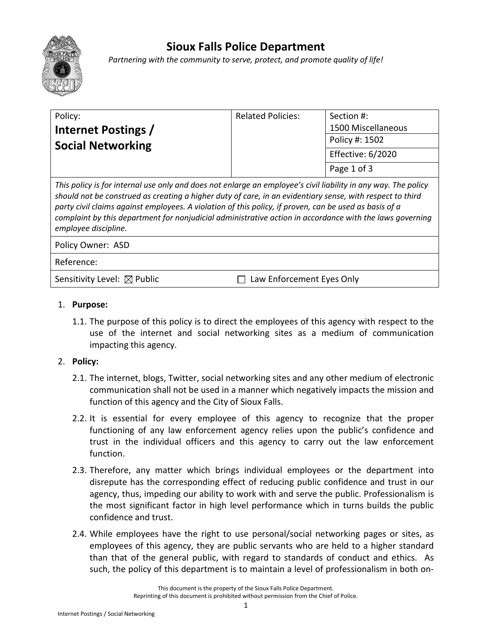

## **Sioux Falls Police Department**

*Partnering with the community to serve, protect, and promote quality of life!*

|                                                                                                                                                                                                                                                                                                                                                                                                                                                                           | Policy:                  | <b>Related Policies:</b> | Section #:         |
|---------------------------------------------------------------------------------------------------------------------------------------------------------------------------------------------------------------------------------------------------------------------------------------------------------------------------------------------------------------------------------------------------------------------------------------------------------------------------|--------------------------|--------------------------|--------------------|
|                                                                                                                                                                                                                                                                                                                                                                                                                                                                           | Internet Postings /      |                          | 1500 Miscellaneous |
|                                                                                                                                                                                                                                                                                                                                                                                                                                                                           | <b>Social Networking</b> |                          | Policy #: 1502     |
|                                                                                                                                                                                                                                                                                                                                                                                                                                                                           |                          |                          | Effective: 6/2020  |
|                                                                                                                                                                                                                                                                                                                                                                                                                                                                           |                          |                          | Page 1 of 3        |
| This policy is for internal use only and does not enlarge an employee's civil liability in any way. The policy<br>should not be construed as creating a higher duty of care, in an evidentiary sense, with respect to third<br>party civil claims against employees. A violation of this policy, if proven, can be used as basis of a<br>complaint by this department for nonjudicial administrative action in accordance with the laws governing<br>employee discipline. |                          |                          |                    |

Policy Owner: ASD

## Reference:

Sensitivity Level:  $\boxtimes$  Public  $\Box$  Law Enforcement Eyes Only

## 1. **Purpose:**

1.1. The purpose of this policy is to direct the employees of this agency with respect to the use of the internet and social networking sites as a medium of communication impacting this agency.

## 2. **Policy:**

- 2.1. The internet, blogs, Twitter, social networking sites and any other medium of electronic communication shall not be used in a manner which negatively impacts the mission and function of this agency and the City of Sioux Falls.
- 2.2. It is essential for every employee of this agency to recognize that the proper functioning of any law enforcement agency relies upon the public's confidence and trust in the individual officers and this agency to carry out the law enforcement function.
- 2.3. Therefore, any matter which brings individual employees or the department into disrepute has the corresponding effect of reducing public confidence and trust in our agency, thus, impeding our ability to work with and serve the public. Professionalism is the most significant factor in high level performance which in turns builds the public confidence and trust.
- 2.4. While employees have the right to use personal/social networking pages or sites, as employees of this agency, they are public servants who are held to a higher standard than that of the general public, with regard to standards of conduct and ethics. As such, the policy of this department is to maintain a level of professionalism in both on-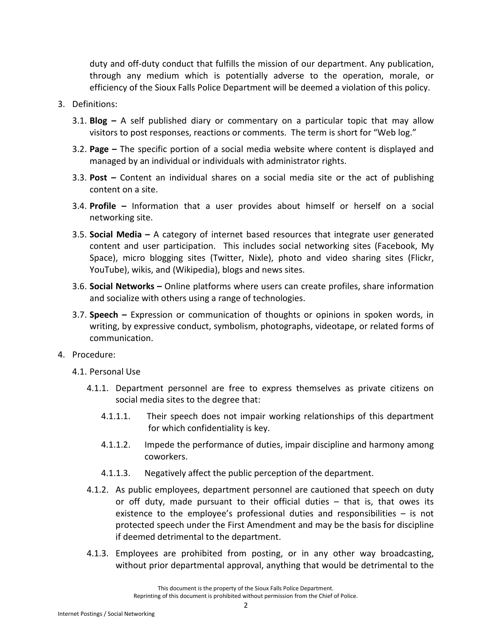duty and off-duty conduct that fulfills the mission of our department. Any publication, through any medium which is potentially adverse to the operation, morale, or efficiency of the Sioux Falls Police Department will be deemed a violation of this policy.

- 3. Definitions:
	- 3.1. **Blog –** A self published diary or commentary on a particular topic that may allow visitors to post responses, reactions or comments. The term is short for "Web log."
	- 3.2. **Page –** The specific portion of a social media website where content is displayed and managed by an individual or individuals with administrator rights.
	- 3.3. **Post –** Content an individual shares on a social media site or the act of publishing content on a site.
	- 3.4. **Profile –** Information that a user provides about himself or herself on a social networking site.
	- 3.5. **Social Media –** A category of internet based resources that integrate user generated content and user participation. This includes social networking sites (Facebook, My Space), micro blogging sites (Twitter, Nixle), photo and video sharing sites (Flickr, YouTube), wikis, and (Wikipedia), blogs and news sites.
	- 3.6. **Social Networks –** Online platforms where users can create profiles, share information and socialize with others using a range of technologies.
	- 3.7. **Speech –** Expression or communication of thoughts or opinions in spoken words, in writing, by expressive conduct, symbolism, photographs, videotape, or related forms of communication.
- 4. Procedure:
	- 4.1. Personal Use
		- 4.1.1. Department personnel are free to express themselves as private citizens on social media sites to the degree that:
			- 4.1.1.1. Their speech does not impair working relationships of this department for which confidentiality is key.
			- 4.1.1.2. Impede the performance of duties, impair discipline and harmony among coworkers.
			- 4.1.1.3. Negatively affect the public perception of the department.
		- 4.1.2. As public employees, department personnel are cautioned that speech on duty or off duty, made pursuant to their official duties – that is, that owes its existence to the employee's professional duties and responsibilities – is not protected speech under the First Amendment and may be the basis for discipline if deemed detrimental to the department.
		- 4.1.3. Employees are prohibited from posting, or in any other way broadcasting, without prior departmental approval, anything that would be detrimental to the

This document is the property of the Sioux Falls Police Department. Reprinting of this document is prohibited without permission from the Chief of Police.